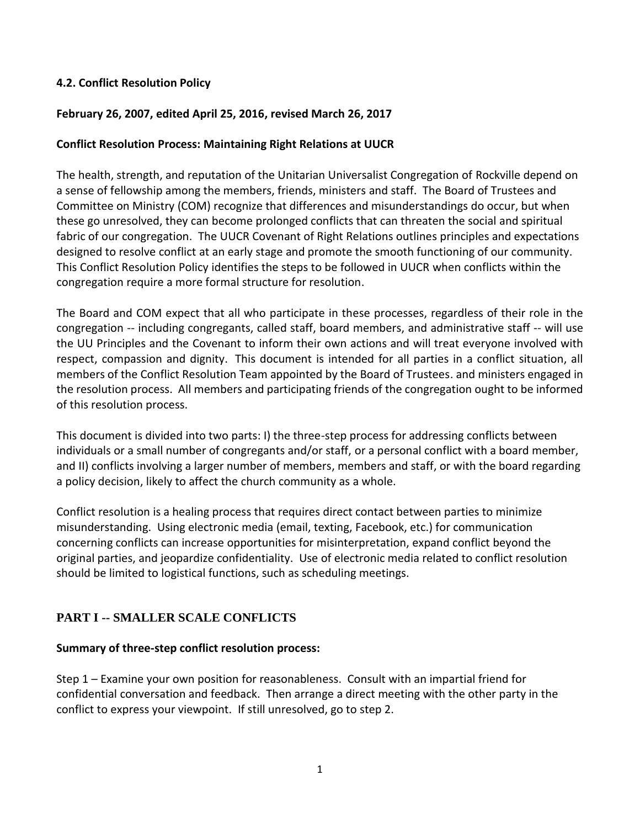#### **4.2. Conflict Resolution Policy**

#### **February 26, 2007, edited April 25, 2016, revised March 26, 2017**

#### **Conflict Resolution Process: Maintaining Right Relations at UUCR**

The health, strength, and reputation of the Unitarian Universalist Congregation of Rockville depend on a sense of fellowship among the members, friends, ministers and staff. The Board of Trustees and Committee on Ministry (COM) recognize that differences and misunderstandings do occur, but when these go unresolved, they can become prolonged conflicts that can threaten the social and spiritual fabric of our congregation. The UUCR Covenant of Right Relations outlines principles and expectations designed to resolve conflict at an early stage and promote the smooth functioning of our community. This Conflict Resolution Policy identifies the steps to be followed in UUCR when conflicts within the congregation require a more formal structure for resolution.

The Board and COM expect that all who participate in these processes, regardless of their role in the congregation -- including congregants, called staff, board members, and administrative staff -- will use the UU Principles and the Covenant to inform their own actions and will treat everyone involved with respect, compassion and dignity. This document is intended for all parties in a conflict situation, all members of the Conflict Resolution Team appointed by the Board of Trustees. and ministers engaged in the resolution process. All members and participating friends of the congregation ought to be informed of this resolution process.

This document is divided into two parts: I) the three-step process for addressing conflicts between individuals or a small number of congregants and/or staff, or a personal conflict with a board member, and II) conflicts involving a larger number of members, members and staff, or with the board regarding a policy decision, likely to affect the church community as a whole.

Conflict resolution is a healing process that requires direct contact between parties to minimize misunderstanding. Using electronic media (email, texting, Facebook, etc.) for communication concerning conflicts can increase opportunities for misinterpretation, expand conflict beyond the original parties, and jeopardize confidentiality. Use of electronic media related to conflict resolution should be limited to logistical functions, such as scheduling meetings.

### **PART I -- SMALLER SCALE CONFLICTS**

#### **Summary of three-step conflict resolution process:**

Step 1 – Examine your own position for reasonableness. Consult with an impartial friend for confidential conversation and feedback. Then arrange a direct meeting with the other party in the conflict to express your viewpoint. If still unresolved, go to step 2.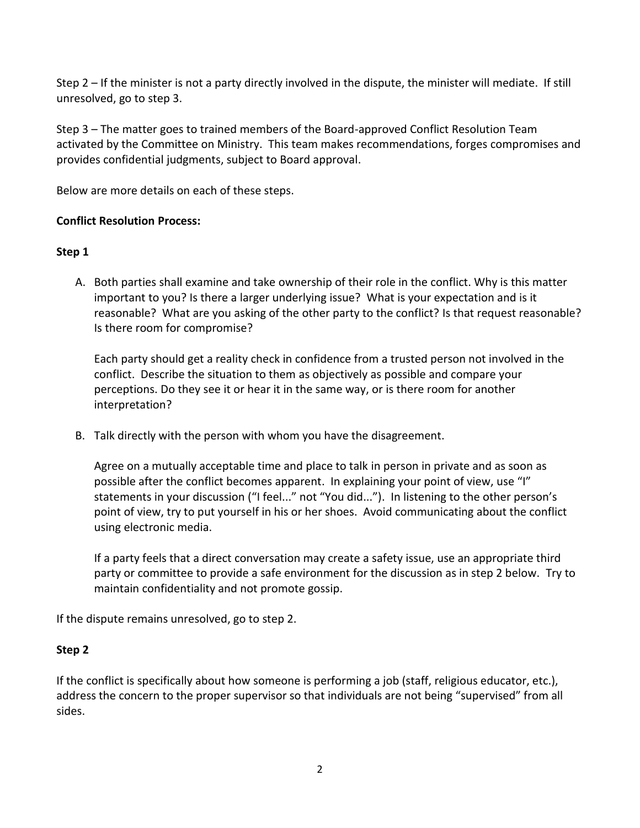Step 2 – If the minister is not a party directly involved in the dispute, the minister will mediate. If still unresolved, go to step 3.

Step 3 – The matter goes to trained members of the Board-approved Conflict Resolution Team activated by the Committee on Ministry. This team makes recommendations, forges compromises and provides confidential judgments, subject to Board approval.

Below are more details on each of these steps.

# **Conflict Resolution Process:**

## **Step 1**

A. Both parties shall examine and take ownership of their role in the conflict. Why is this matter important to you? Is there a larger underlying issue? What is your expectation and is it reasonable? What are you asking of the other party to the conflict? Is that request reasonable? Is there room for compromise?

Each party should get a reality check in confidence from a trusted person not involved in the conflict. Describe the situation to them as objectively as possible and compare your perceptions. Do they see it or hear it in the same way, or is there room for another interpretation?

B. Talk directly with the person with whom you have the disagreement.

Agree on a mutually acceptable time and place to talk in person in private and as soon as possible after the conflict becomes apparent. In explaining your point of view, use "I" statements in your discussion ("I feel..." not "You did..."). In listening to the other person's point of view, try to put yourself in his or her shoes. Avoid communicating about the conflict using electronic media.

If a party feels that a direct conversation may create a safety issue, use an appropriate third party or committee to provide a safe environment for the discussion as in step 2 below. Try to maintain confidentiality and not promote gossip.

If the dispute remains unresolved, go to step 2.

### **Step 2**

If the conflict is specifically about how someone is performing a job (staff, religious educator, etc.), address the concern to the proper supervisor so that individuals are not being "supervised" from all sides.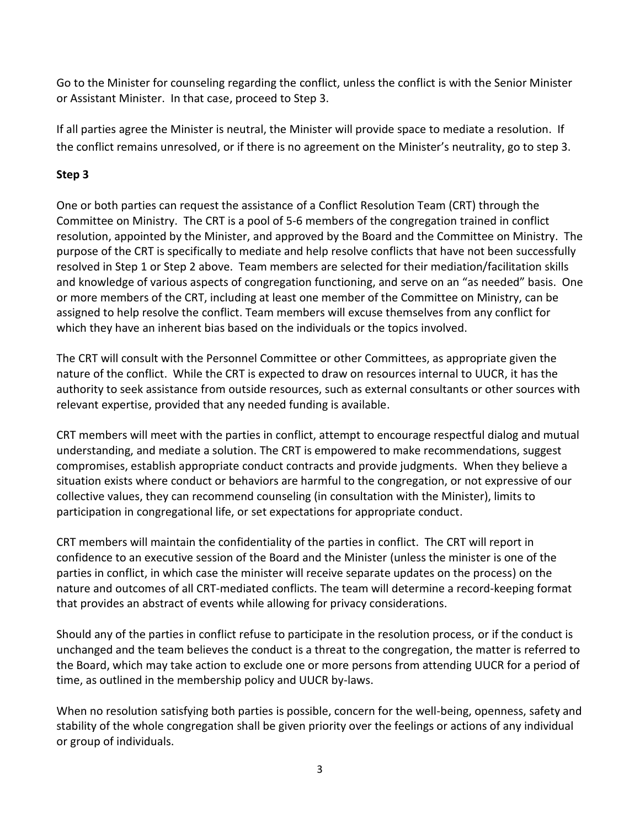Go to the Minister for counseling regarding the conflict, unless the conflict is with the Senior Minister or Assistant Minister. In that case, proceed to Step 3.

If all parties agree the Minister is neutral, the Minister will provide space to mediate a resolution. If the conflict remains unresolved, or if there is no agreement on the Minister's neutrality, go to step 3.

# **Step 3**

One or both parties can request the assistance of a Conflict Resolution Team (CRT) through the Committee on Ministry. The CRT is a pool of 5-6 members of the congregation trained in conflict resolution, appointed by the Minister, and approved by the Board and the Committee on Ministry. The purpose of the CRT is specifically to mediate and help resolve conflicts that have not been successfully resolved in Step 1 or Step 2 above. Team members are selected for their mediation/facilitation skills and knowledge of various aspects of congregation functioning, and serve on an "as needed" basis. One or more members of the CRT, including at least one member of the Committee on Ministry, can be assigned to help resolve the conflict. Team members will excuse themselves from any conflict for which they have an inherent bias based on the individuals or the topics involved.

The CRT will consult with the Personnel Committee or other Committees, as appropriate given the nature of the conflict. While the CRT is expected to draw on resources internal to UUCR, it has the authority to seek assistance from outside resources, such as external consultants or other sources with relevant expertise, provided that any needed funding is available.

CRT members will meet with the parties in conflict, attempt to encourage respectful dialog and mutual understanding, and mediate a solution. The CRT is empowered to make recommendations, suggest compromises, establish appropriate conduct contracts and provide judgments. When they believe a situation exists where conduct or behaviors are harmful to the congregation, or not expressive of our collective values, they can recommend counseling (in consultation with the Minister), limits to participation in congregational life, or set expectations for appropriate conduct.

CRT members will maintain the confidentiality of the parties in conflict. The CRT will report in confidence to an executive session of the Board and the Minister (unless the minister is one of the parties in conflict, in which case the minister will receive separate updates on the process) on the nature and outcomes of all CRT-mediated conflicts. The team will determine a record-keeping format that provides an abstract of events while allowing for privacy considerations.

Should any of the parties in conflict refuse to participate in the resolution process, or if the conduct is unchanged and the team believes the conduct is a threat to the congregation, the matter is referred to the Board, which may take action to exclude one or more persons from attending UUCR for a period of time, as outlined in the membership policy and UUCR by-laws.

When no resolution satisfying both parties is possible, concern for the well-being, openness, safety and stability of the whole congregation shall be given priority over the feelings or actions of any individual or group of individuals.